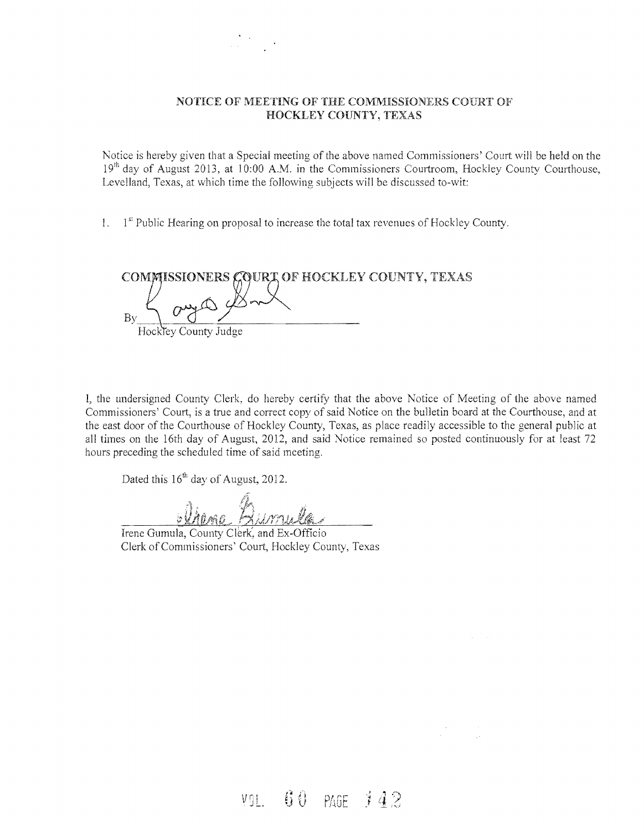#### NOTICE OF MEETING OF THE COMMISSIONERS COURT OF HOCKLEY COUNTY, TEXAS

Notice is hereby given that a Special meeting of the above named Commissioners' Court will be held on the  $19<sup>th</sup>$  day of August 2013, at 10:00 A.M. in the Commissioners Courtroom, Hockley County Courthouse, Levelland, Texas, at which time the following subjects will be discussed to-wit:

1.  $1<sup>st</sup>$  Public Hearing on proposal to increase the total tax revenues of Hockley County.

COMMISSIONERS GOURT OF HOCKLEY COUNTY, TEXAS By Hockley County Judge

I, the undersigned County Clerk, do hereby certify that the above Notice of Meeting of the above named Commissioners' Court, is a true and correct copy of said Notice on the bulletin board at the Courthouse, and at the east door ofthe Courthouse of Hockley County, Texas, as place readily accessible to the general public at all times on the 16th day of August, 2012, and said Notice remained so posted continuously for at least 72 hours preceding the scheduled time of said meeting.

Dated this  $16<sup>th</sup>$  day of August, 2012.

Irene Gumula, County Clerk, and I Clerk of Commissioners' Court, Hockley County, Texas

VOL. 60 PAGE 142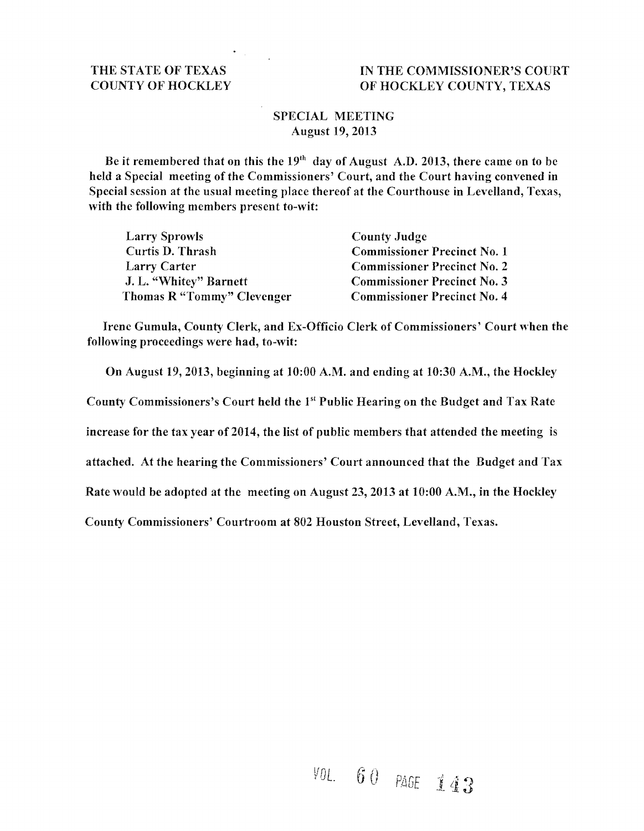### THE STATE OF TEXAS IN THE COMMISSIONER'S COURT COUNTY OF HOCKLEY OF HOCKLEY COUNTY, TEXAS

### SPECIAL MEETING August 19,2013

Be it remembered that on this the  $19<sup>th</sup>$  day of August A.D. 2013, there came on to be held a Special meeting of the Commissioners' Court, and the Court having convened in Special session at the usual meeting place thereof at the Courthouse in Levelland, Texas, with the following members present to-wit:

| <b>Larry Sprowls</b>       | <b>County Judge</b>                |
|----------------------------|------------------------------------|
| Curtis D. Thrash           | <b>Commissioner Precinct No. 1</b> |
| Larry Carter               | <b>Commissioner Precinct No. 2</b> |
| J. L. "Whitey" Barnett     | <b>Commissioner Precinct No. 3</b> |
| Thomas R "Tommy" Clevenger | <b>Commissioner Precinct No. 4</b> |

Irene Gumula, County Clerk, and Ex-Officio Clerk of Commissioners' Court when the following proceedings were had, to-wit:

On August 19,2013, beginning at 10:00 A.M. and ending at 10:30 A.M., the Hockley

County Commissioners's Court held the 151 Public Hearing on the Budget and Tax Rate

increase for the tax year of 2014, the list of public members that attended the meeting is

attached. At the hearing the Commissioners' Court announced that the Budget and Tax

Rate would be adopted at the meeting on August 23, 2013 at 10:00 A.M., in the Hockley

County Commissioners' Courtroom at 802 Houston Street, Levelland, Texas.

# YOL.  $60$  page 143.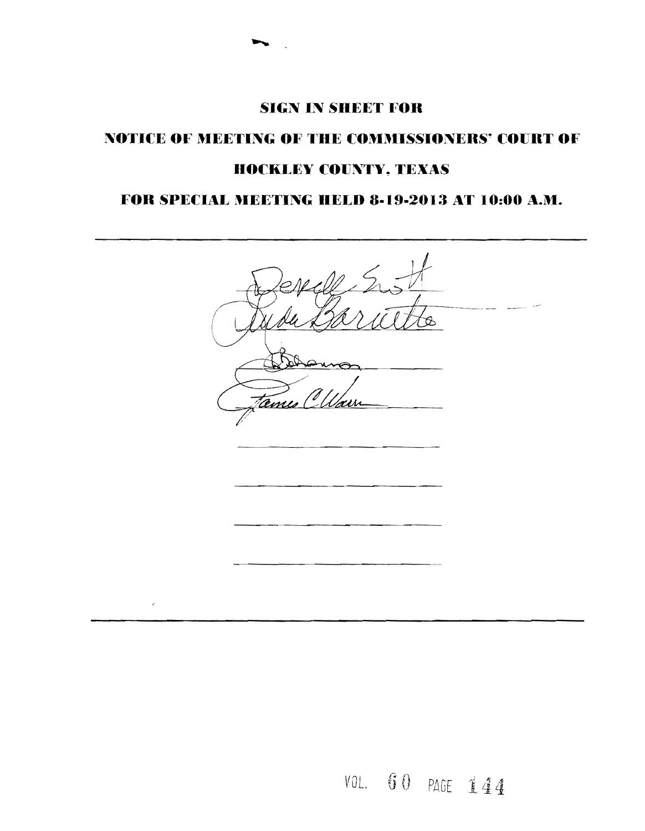### **SIGN IN SHEET FOR**

# NOTICE OF MEETING OF THE COMMISSIONERS' COURT OF **HOCKLEY COUNTY, TEXAS**

## FOR SPECIAL MEETING HELD 8-19-2013 AT 10:00 A.M.

O. emi  $\overline{\phantom{a}}$ 

VOL. 60 PAGE 144